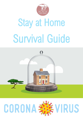

# Stay at Home Survival Guide



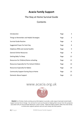# **Acacia Family Support**

# The Stay at Home Survival Guide

# **Contents**

| Introduction                                 | Page | 3  |
|----------------------------------------------|------|----|
| Things to Remember and Helpful Strategies    | Page | 3  |
| <b>Survival Guide Routine</b>                | Page | 6  |
| Suggested Prayer for Each Day                | Page | 8  |
| Helplines (PND and mental health)            | Page | 9  |
| <b>General Online Resources</b>              | Page | 9  |
| <b>Getting Baby To Sleep</b>                 | Page | 12 |
| Resources for Children/Home-schooling        | Page | 12 |
| Resources Especially for Pre-School Children | Page | 14 |
| <b>Resources Especially for Babies</b>       | Page | 14 |
| <b>Community Support During Stay at Home</b> | Page | 15 |
| Domestic Abuse Support                       | Page | 15 |

# www.acacia.org.uk



**Acacia** is a Christian charity working across Birmingham to provide a wide range of perinatal mental health support services free of charge. Our services for mums are focused on helping them recover from the symptoms associated with pre and postnatal depression, and/or anxiety. Maternal health problems affect the entire family so Acacia also supports partners and can work closely with both parents.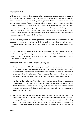# Introduction

Welcome to the Acacia guide to staying at home. At Acacia, we appreciate that having to isolate is an extremely difficult thing to do. As humans, we are social creatures, and feeling close to friends and family is something that keeps us emotionally and mentally well. This is so much more difficult, if you are expecting a baby or you are a new mummy. You will be experiencing biological, psychological and social changes. You will have additional caring responsibilities and going through huge changes to your life in general. Suffering from low mood, anxiety and depression in addition to this will make life at this time feel overwhelming. At Acacia Family Support, we understand this, so we have put this survival guide together, to help support you at this extremely difficult time.

As you've probably already noticed the guide does contain quite a lot of information and we don't want to overwhelm you. You may decide to read it a bit at a time, or dip in and out of it. However you do it, we hope that this information will be helpful to you over these coming weeks.

We are a Christian organisation. Love and prayer are central to our work. We will be praying for all our families, and searching for innovative ways to support you further. Here are some trusted strategies that will help to bring some normality and improve your mood, in a world that is currently very abnormal.

## Things to remember and Helpful Strategies

- **Changes to our mental health; including low mood, stress, increasing worry, anxious thoughts and feelings can fluctuate daily**. Eventually these feelings will stabilise and return to normal. It is important to remember that this difficult situation and the changes to your mental health are temporary. Your situation and symptoms will improve, you will feel better in time and you will come through this difficult period with every new day.
- **Mornings can be the hardest**. This is due to lots of factors, lack of sleep, low blood sugar (due to fasting through the night), excessive worry, and apprehension about the day ahead. Usually once we have begun our day, implemented our routine, taken a shower, breakfast etc. we start to feel more settled and our mood will begin to improve and anxiety can begin to reduce.
- **The only thing we can change is this moment**. Each moment is a new moment, a new opportunity to feel better. If you can focus your attention on the here and now, this very moment, and recognise you have control of this moment, this can help to alleviate anxiety and worry thoughts. In each new moment, we can chose to think differently, we can chose to tackle a task, affirm ourselves, affirm others, etc. This is something to be practised, but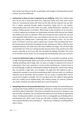each moment we choose to do this, we get better and stronger at choosing what we want to think, say and do differently.

- **Feeling close to those we love is important to our wellbeing**. Whilst this is difficult right now, we can stay in touch with loved ones, using social media, Face Time, Zoom, House Party etc. Increasing the bonds with those we live with will also improve how you feel. This is always improved through playful interactions, being kind to one another, understanding what each other needs and wants, being affectionate, listening to one another, finding solutions to problems. Whilst living in close proximity can be very hard, it is also an opportunity to deepen our relationships and bonds with those we love. Babies and children just want our attention. Other than having their basic needs met, the next most important thing to them is you, your attention and your love. Your face, your voice, you holding and cuddling them, comforting them, and talking to them. You are their world. This doesn't mean you need to spend every minute of the day being their focus. But having several interactions throughout the day, whereby your baby or child, has your undivided attention, will make them feel loved, fulfilled and happy. This will also make you feel better too. If this isn't coming naturally, because of low mood, anxiety or for other reasons, make this an act of your will, and eventually the feelings will follow. This is true for all members of your family. You are enough and everything they need, just as you are.
- **A sense of achievement helps us to feel good**. When we accomplish something, we feel a surge of feel good feelings. When we are low, we often feel demotivated to do anything. Tackling something small to begin with, can help us to begin to experience this sense of achievement. This in turn motivates us to then tackle something else. It doesn't have to be something big, it might be something like loading the dishwasher, (which when feeling low, can feel like a huge task), once complete, we might then feel inspired to clean a cupboard for example. As we achieve something we didn't think we could, our confidence improves and we feel better about ourselves. This can create a snowball effect and we can go from strength to strength. This isn't just about work, this might be about getting back into a hobby you've stopped doing, craft, knitting, sewing, art, exercise, whatever you choose, whatever you enjoy that gives you a sense of pleasure.
- **Doing things that are necessary alleviates stress**. Important things that need tackling such as paying a bill, having a difficult conversation, cleaning, etc. These tasks can feel stressful if we feel unable to tackle them. They tend to overwhelm and consume us. However, once they have been completed, we can instantly feel relieved and stress levels can significantly reduce. Tackling each problem, one step at a time is a manageable way of dealing with an overwhelming task. Write a plan of how you will tackle a problem. Resolving necessary tasks instantly alleviates stress and helps to improve your confidence in tackling difficult tasks in future.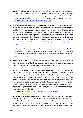- **Eating well is important** to stay physically, mentally and emotionally well. Appetite can increase or decrease when we are affected by low mood. Not eating properly, can affect sugar levels and energy levels, which if too high or too low, can affect how we feel mentally. Guidance on eating well can be found online at the NHS Eat Well guide <https://www.nhs.uk/live-well/eat-well/the-eatwell-guide/>
- **Goo**d **quality sleep is imperative to improve mental health**. This is very difficult when you have recently given birth, and it can take up to 4 months for a baby's sleep pattern to establish. If you are sleep deprived, try sleeping when your baby sleeps. If you can, go to bed early. Have a relaxing bath and a warm milky drink (caffeine free) half an hour before going to bed. If you can share nights with your partner, this could help you to catch up on your sleep. As babies get older, the gaps between sleeping become longer. Understanding your baby's sleep pattern can be helpful. For help with your baby's sleep, more guidance can be found here: [https://www.nhs.uk/conditions/pregnancy-and-baby/getting-baby](https://www.nhs.uk/conditions/pregnancy-and-baby/getting-baby-to-sleep/)[to-sleep/](https://www.nhs.uk/conditions/pregnancy-and-baby/getting-baby-to-sleep/)
- **Exercise** may be the last thing you feel like doing, but it can actually help you feel less tired. Walking with your baby is probably the easiest form of exercise. Try to go out every day for a walk with your baby and remember to observe social distancing rules (stay 2 metres away from anyone else).
- **It's ok not to be ok**. This is a highly stressful difficult time. Crying is a release of our emotions. Crying is natural and it serves a purpose. It helps to release tension; it releases our difficult feelings and thoughts. We often feel better after a good cry.
- **On average every day, we all have about 70,000 thoughts**. Lots of these thoughts just pop into our head. We don't invite them in, we don't choose them, we might not want them, they just appear. Some thoughts might not be helpful, they might be frightening, or not very nice or self-loathing. Thoughts are just that, thoughts. They are not facts, they are not true, they can be unhelpful and inaccurate. If you are experiencing thoughts like this, try to recognise these are just thoughts. Try distracting yourself with your routine, listening to music, having a conversation. If these thoughts continue to cause distress, you can refer for Cognitive Behavioural Therapy with your GP. For information on unhelpful thoughts you can visit this NHS site

<https://www.nhs.uk/Video/Pages/unhelpful-thinking-podcast.aspx>

• **Worry and anxiety about coronavirus** is normal and understandable. Shift your focus onto what you can control; as detailed above, it is just the here and now, each choice you make throughout the day. Your routine, your activities, what you say and what you do. Limit access to the news and have an allocated worry time of about 10 minutes to think about it or to speak to a trusted friend about it. If you have older children, limit their time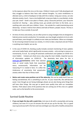to the exposure about the virus on the news. Children's brains aren't fully developed and they struggle to balance their fears with rational thoughts. Try some mindfulness to alleviate worry, a link to headspace to help with this is below. Using your senses, can also alleviate anxiety, touch – have a nice bubble bath, wrap your baby in a cosy blanket, stroke your pet. Smell – Smell a nice plant or flower, spray a favourite perfume, your favourite essential oil. Hearing – play calming music, go outside and listen to the birds, use a soothing calm voice with your children. Vision – Go outside for a walk (maintaining social distancing – at least 2 metres from others) and look at flowers, people, houses. The key is to take your focus outside of yourself.

- At times of stress and anxiety, we are often prone to using strategies that are designed to help but prove counter-productive. For example, you may Google symptoms to try to calm yourself down, even though it is unlikely to ever make you feel better. When our strategies for de-stressing instead increase our anxiety, it is time to take a step back and ask if there is anything more helpful, we can do.
- In the case of COVID-19, checking usually includes constant monitoring of news updates and social media feeds, which significantly increases anxiety – only serving to reassure us momentarily, if at all. So, tuning off automatic notifications and updates on COVID-19 is more helpful. Instead, just check once a day using the most reliable, impartial sources of information updates on COVID-19. The absolutely best place for this is

**[www.gov.uk/](http://www.gov.uk/)coronavirus** rather than alarmist news or social media feeds that exacerbate worry unnecessarily. Information can be reassuring if it is rooted in facts. It is often the intolerance of uncertainty that perpetuates anxiety rather than fear of illness itself.



• **Notice and create some positives out of the adversity**, this can be really hard if you are feeling overwhelmed, this is something to aim for. As your mood lifts, this will become easier. Even though we are facing challenges ahead, we are also facing some things that will have silver linings. We may get to spend more quality time with our immediate families. Think about some of the positives that are coming out of this crisis on a global scale, such as the benefits to the environment.

# Survival Guide Routine

• **If you can begin the day with a quiet time**, (not easy to do with a young baby and young children), but even if it is just 10 minutes this will set you up for the day. This is a good way to ground yourself in the here and now and begin your day with a healthy and positive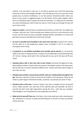outlook, it can also help to calm you. It can help to prevent your mind from becoming immersed in worry and unhelpful thoughts. This will help you to focus on your day. Some people pray or practice mindfulness, or use the exercise mentioned earlier where you focus on your senses. A suggested prayer is at the bottom of this guide, together with a link to a mindfulness app to support you with this technique. It's important to remember you have everything you need to take one step at a time to get you through the day and we're here to help.

- **Keep to a routine,** routines keep us mentally well and help us to feel safe. You might have a shower, style your hair, if you normally wear makeup, put this on, and continue to stick to your normal routine as much as possible. Keeping children and babies in a routine will give them structure and help them to feel calm and safe.
- **As much as possible have breakfast at the same time each day** to keep to the routine. Put the radio on in the background, upbeat music if possible or the TV, to create an atmosphere that is lively.
- **It is good for us, our children and babies to be outside, and to exercise**. It is ok to go for walks at this time of staying at home, as long as we are adhering to social distancing rules of 2 metres. Having a brisk walk in the morning will set you up for the day and lift your mood.
- **Schedule phone calls or face time calls to your friends** and family throughout the day. Keep helpline numbers to hand, there are several in the helpline section of this document. We all need lots of contact during this difficult time. Friends and family will be happy to hear from you also.
- **Schedule play activities and learning activities with your children/baby throughout the day**. We have a selection of links to resources for children in this document. These can be broken up with regular refreshment breaks, lunchtime, rest periods and some TV time.
- **Prioritise tasks at this time.** It doesn't matter if you don't complete all your household chores. Make yourself a list each day of the essential tasks and desirable. Be kind to yourself and don't have high expectations during this time. Each task you complete, acknowledge as an accomplishment and congratulate yourself for.
- **Make time for yourself if you can**. A hot bath, a face mask, paint your nails, cleansing your face. Whatever it is you do, to make yourself feel good, try and fit in at least one pamper activity each day.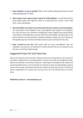- **Keep mealtimes as easy as possible.** Refer to the healthy eating details above and see [www.myrecipes.com](http://www.myrecipes.com/) for ideas.
- **After teatime, have a good routine in place for children/babies.** Try and keep with the school night routine. This might be a little TV or quiet play time, a bath, a warm milky drink, a story and bedtime.
- **Once the children are in bed, it's your time and if you have a partner, your time together**. You could watch a movie together, have a meal together, play a game, sit in the garden etc. If you are alone, you could have a bubble bath, watch a good movie, phone friends, read a book or something else you enjoy. Whilst this sounds idyllic, we appreciate it's not easy to do when you feel exhausted. However building an activity into your evening can be enjoyable, give you structure and help to break up your evening from your day.
- **Keep a journal of your day.** Write down what you have accomplished, what was enjoyable, and what you are thankful for. Remind yourself that you are doing the very best you can and this is good enough.

# Suggested Prayer for Each New Day

Dear Lord, Thank you for this new day. Thank you that we are a day closer to the coronavirus restrictions ending and the virus being beaten. I ask you to be with me throughout the day, help me to remember I have all the resources I need to get me through the day. Help me to see the wonderful mum or mum to be that I am, help me to enjoy my children/baby, help me to have more energy, more peace and more joy. Help me to know that you are in control and what is happening is for a season only, and very soon, all of my life will return to normal. Amen

**Mindfulness resource – www.headspace.com**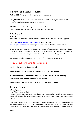# Helplines and Useful resources

National PND/mental health helplines and support:

**Every Mind Matters** Advice, links and practical tips to look after your mental health https://www.nhs.uk/oneyou/every-mind-matters/

**PANDAS:** Pre and Postnatal Depression Advice and Support: 0843 28 98 401 Daily support: 9 am to 8 pm, and Facebook support

**[PNDandme.co.uk](http://pndandme.co.uk/) #PNDChat #PNDHour** Wednesdays, 8 pm (connecting with others and providing mutual support)

**OCD Action<https://www.ocdaction.org.uk/> 0845 390 6232 [support@ocdaction.org.uk.](mailto:support@ocdaction.org.uk)** Providing support and information for anyone with OCD

**CALM** CALM is the Campaign Against Living Miserably, for people in the UK who are down or have hit a wall for any reason.Call 0800 58 58 58 (daily, 5pm to midnight) or Webchat is available from 5pm to midnight at https://www.thecalmzone.net/help/webchat/

**Samaritans:** freephone 116 123 (24/7) – you don't have to be in a crisis to call.

## If you are suffering a mental health crisis:-

**In a life threatening situation call 999**

**Alternatively please contact your mental health crisis team:-**

**For BSMHFT (25yrs and over) call 0121 301 5500For Forward Thinking Birmingham (24 yrs and younger) 0300 300 0099**

**Alternatively call 111 or request an urgent GP appointment.** 

## General Resources

#### **#BrumTogether**

https://theaws.co.uk/relief/

If you are feeling lonely and need a friendly chat, or need some help to pick up urgent supplies during self-isolation then please don't hesitate to contact by entering your details on the web page form.

People who are self isolating or organisations looking for support can also contact us via the web page, or calling 0121 728 7030 during office hours. Please note this support is currently only available for Birmingham residents, but keep an eye on the website for future updates.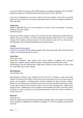If you live in Solihull and require help: Older people can call Age UK Solihull on 0121 704 7840. People of all ages can call Solihull Community Advice Hub on 0121 709 7590.

If you live in Sandwell, the council has written to all of its residents. If you have no existing help in your area and there is an urgent need, please call the Council's Emergency Helpline on 0121 569 2266.

#### **Family Lives**

Helpline: 0808 800 2222 9 am to 8 pm Mon-Fri, 10 am to 3 pm at weekends. Free from landlines and most mobiles.

familylives.org.uk

Family Lives offers support to help you to achieve the best relationship possible with the children that you care about, as well as supporting parenting professionals. This is provided through their helpline, extensive advice on their website, email and live chat services, befriending services, and parenting/relationship support groups.

#### **Turn2us**

#### <https://www.turn2us.org.uk/>

Turn2us is a national charity helping people when times get tough. We provide financial support to help people get back on track

#### **Home-Start**

home-start.org.uk

Home-Start volunteers help families with young children struggling with postnatal depression, isolation, physical health problems, bereavement and many other issues. Unfortunately, they are experiencing a high level of referrals at the moment so there could be a wait before you receive support.

#### **MumsMeetUp**

mumsmeetup.com

MumsMeetUp connects mums locally and across the UK. It provides a quick and simple solution for mums to find others in their area, in the same boat, and to go on the journey of being a mum together - creating proper real-life friendships for them and their children. Within just a few clicks mums are able to search their county and locality to find mums similar by age, age of child and circumstances (such as mums to be, working mums, single parent mums & more). Additionally, mums of children with disabilities are able to search by similar conditions, as well as location. It is a web based app which works just as well on mobiles as on all screen sizes.

#### **Mumsnet**

#### mumsnet.com

Mumsnet makes parents' lives easier by pooling knowledge, advice and support on everything from conception to childbirth, from babies to teenagers. It is the most popular parenting site in the UK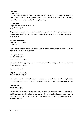#### **Netmums**

netmums.com

A unique local network for Mums (or Dads), offering a wealth of information on both a national and local level. Once registered, you can access details for all kinds of local resources, from child-friendly cafes to childminders, places to go etc.

#### **Gingerbread**

Single Parent Helpline: 0808 802 0925 gingerbread.org.uk

Gingerbread provide information and online support to help single parents support themselves and their family. The leading national charity working to help lone parents and their children.

#### **Families Need Fathers**

Helpline: 0300 0300 363 fnf.org.uk

Help with shared parenting issues arising from relationship breakdown whether you're the mum or dad, married or unmarried.

#### **Grandparents Plus**

Call: 0300 123 7015 grandparentsplus.org.uk

Grandparents Plus supports grandparents and other relatives raising children who aren't able to live with their parents.

#### **New Family Social**

Helpline: 020 3880 2683 newfamilysocial.org.uk

New Family Social promotes the care and upbringing of children by LGBTQ+ adopters and foster carers by allowing these families to socialise and share support in a safe environment.

#### **Pink Parents**

pinkparents.org.uk

Pink Parents offer a range of support services and social activities for all Lesbian, Gay, Bisexual and Transsexual families, whether you are considering parenting, have grandchildren, are fostering or adopting or are an Uncle or Aunty, PinkParents can offer support and a place to meet new friends.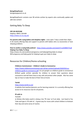#### **BeingAStepParent**

beingastepparent.co.uk

BeingAStepParent contains over 90 articles written by experts who continually update and add new content

## Getting Baby To Sleep

**CRY-SIS HELPLINE** Helpline: 08451 228 669 <https://www.cry-sis.org.uk/>

**For parents with crying babies and sleepless nights** - [Lines open 7 days a week 9am-10pm](https://www.cry-sis.org.uk/) A UK charity offering help and support to parents with babies who cry excessively or have sleeping problems

**How to soothe a crying baby podcast** - <https://www.youtube.com/watch?v=j2C8MkY7Co8> **Helping Your Baby To Sleep**

https://www.nhs.uk/conditions/pregnancy-and-baby/getting-baby-to-sleep/ NHS pregnancy and baby guide for helping to get your baby to sleep

## Resources for Children/Home-schooling

**Childrens Commissioner – Children's Guide to Coronavirus**

[https://www.childrenscommissioner.gov.uk/wp-content/uploads/2020/03/cco](https://www.childrenscommissioner.gov.uk/wp-content/uploads/2020/03/cco-childrens-guide-to-coronavirus.pdf)[childrens-guide-to-coronavirus.pdf](https://www.childrenscommissioner.gov.uk/wp-content/uploads/2020/03/cco-childrens-guide-to-coronavirus.pdf) (*or just google cco childrens guide to coronavirus*) Brilliant guide written specially for children to answer their questions about coronavirus and tell them how to stay safe and protect other people. Also has some tips on how to make the best of their time at home

#### **Twinkl**

#### <https://www.twinkl.co.uk/>

A website that teachers/parents use for learning material. It is currently offering free access to its resources now for all parents.

#### **PE with Jo**

#### *Youtube*

Jo Wickes (the body coach) is doing a live 'PE class' at 9 am daily. Just head to You Tube and type in 'PE with Jo'. A great way for mums with school children to kickstart their day and some sense of routine.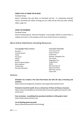#### **FAMILY STAY AT HOME TIPS & IDEAS**

#### *Facebook Group*

Search 'Lockdown Tips and Ideas' on Facebook and join. It is absolutely amazing! There's constantly live videos of things you can make and do with your kids, cooking videos, yoga, etc.

#### **CHASE THE RAINBOW**

#### *Facebook Group*

Search Facebook group 'Chase the Rainbow' it encourages children to paint/colour a rainbow and stick it in the windows at the front of their house to spread joy.

## More Online Kids/Home-schooling Resources:

| Just google these names:   |
|----------------------------|
| <b>BrainPop</b>            |
| <b>Curiosity Stream</b>    |
| Tynker                     |
| Outschool                  |
| Udemy                      |
| iReady                     |
| Beast Academy (Math)       |
| Khan Academy               |
| <b>Creative Bug</b>        |
| <b>Discovery Education</b> |
|                            |

#### YouTube Channels: Crash Course Kid Science Channe SciShow Kid National Geographic Kid Free School Geography Focu **TheBrainScoo** SciSho Kids Learning Tub Geeek Gurl Diarie Mike Likes Science Science Ma

#### Websites

#### **Scholastic has created a free learn-from-home site with 20+ days of learning and activities.**

https://classroommagazines.scholastic.com/support/learnathome.html

#### **Pretend to travel the world. Go on a virtual tour of these 12 famous museums.**  https://www.travelandleisure.com/attractions/museums-galleries/museums-withvirtual-tours

**Free curriculum - everything from preschool activities to 12th grade is here!** https://allinonehomeschool.com/

#### **List of thinking games by grade**:

https://allinonehomeschool.com/thinking/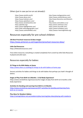## Others (just in case you've run out already!):

- https://www.starfall.com/h/ https://www.abcya.com/ https://www.funbrain.com/ https://www.splashlearn.com/ https://www.storylineonline.net/ https://pbskids.org/ https://www.highlightskids.com/ https://kids.nationalgeographic.com/ https://www.coolmath4kids.com/
- http://www.mathgametime.com/ https://www.uniteforliteracy.com/ http://www.literactive.com/Home/in dex.asp http://www.sciencekids.co.nz/ https://www.switchzoo.com/ https://www.seussville.com/ https://www.turtlediary.com/ https://www.e-learningforkids.org/

## Resources especially for pre-school children

#### **236 Best Preschool resources & ideas images**

<https://www.pinterest.co.uk/msgardner/preschool-resources-ideas/>

#### **Little Owl Resources**

https://littleowlsresources.com/

Free online resources; everything is created completely from scratch by Little Owls Resources husband and wife team.

## Resources especially for babies:

#### **25 Things to Do With Babies at Home**

<https://www.sitters.co.uk/blog/25-things-to-do-with-babies-at-home.aspx>

Sensory activities for babies and things to do with babies that perhaps you hadn't thought of before.

#### **Stages of Play From Birth to 6 Months: A Full-Body Experience!**

https://www.zerotothree.org/resources/312-stages-of-play-from-birth-to-6-months-a-fullbody-experience

#### **Activities for Bonding and Learning from Birth to 12 Months**

[https://www.zerotothree.org/resources/1077-activities-for-bonding-and-learning-from](https://www.zerotothree.org/resources/1077-activities-for-bonding-and-learning-from-birth-to-12-months)[birth-to-12-months](https://www.zerotothree.org/resources/1077-activities-for-bonding-and-learning-from-birth-to-12-months)

**Play Ideas for Newborn Babies:** <https://raisingchildren.net.au/newborns/play-learning/play-ideas/playing-with-newborns>